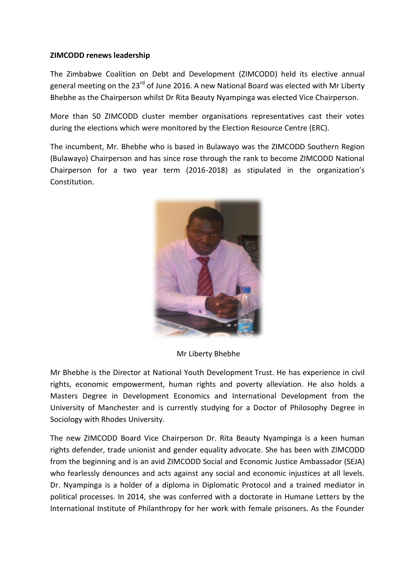## **ZIMCODD renews leadership**

The Zimbabwe Coalition on Debt and Development (ZIMCODD) held its elective annual general meeting on the 23<sup>rd</sup> of June 2016. A new National Board was elected with Mr Liberty Bhebhe as the Chairperson whilst Dr Rita Beauty Nyampinga was elected Vice Chairperson.

More than 50 ZIMCODD cluster member organisations representatives cast their votes during the elections which were monitored by the Election Resource Centre (ERC).

The incumbent, Mr. Bhebhe who is based in Bulawayo was the ZIMCODD Southern Region (Bulawayo) Chairperson and has since rose through the rank to become ZIMCODD National Chairperson for a two year term (2016-2018) as stipulated in the organization's Constitution.



Mr Liberty Bhebhe

Mr Bhebhe is the Director at National Youth Development Trust. He has experience in civil rights, economic empowerment, human rights and poverty alleviation. He also holds a Masters Degree in Development Economics and International Development from the University of Manchester and is currently studying for a Doctor of Philosophy Degree in Sociology with Rhodes University.

The new ZIMCODD Board Vice Chairperson Dr. Rita Beauty Nyampinga is a keen human rights defender, trade unionist and gender equality advocate. She has been with ZIMCODD from the beginning and is an avid ZIMCODD Social and Economic Justice Ambassador (SEJA) who fearlessly denounces and acts against any social and economic injustices at all levels. Dr. Nyampinga is a holder of a diploma in Diplomatic Protocol and a trained mediator in political processes. In 2014, she was conferred with a doctorate in Humane Letters by the International Institute of Philanthropy for her work with female prisoners. As the Founder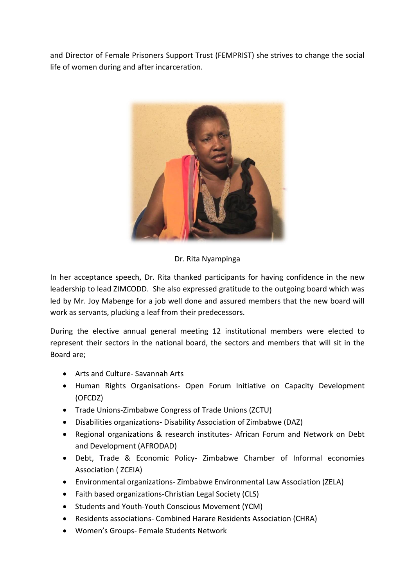and Director of Female Prisoners Support Trust (FEMPRIST) she strives to change the social life of women during and after incarceration.



Dr. Rita Nyampinga

In her acceptance speech, Dr. Rita thanked participants for having confidence in the new leadership to lead ZIMCODD. She also expressed gratitude to the outgoing board which was led by Mr. Joy Mabenge for a job well done and assured members that the new board will work as servants, plucking a leaf from their predecessors.

During the elective annual general meeting 12 institutional members were elected to represent their sectors in the national board, the sectors and members that will sit in the Board are;

- Arts and Culture- Savannah Arts
- Human Rights Organisations- Open Forum Initiative on Capacity Development (OFCDZ)
- Trade Unions-Zimbabwe Congress of Trade Unions (ZCTU)
- Disabilities organizations- Disability Association of Zimbabwe (DAZ)
- Regional organizations & research institutes- African Forum and Network on Debt and Development (AFRODAD)
- Debt, Trade & Economic Policy- Zimbabwe Chamber of Informal economies Association ( ZCEIA)
- Environmental organizations- Zimbabwe Environmental Law Association (ZELA)
- Faith based organizations-Christian Legal Society (CLS)
- Students and Youth-Youth Conscious Movement (YCM)
- Residents associations- Combined Harare Residents Association (CHRA)
- Women's Groups- Female Students Network